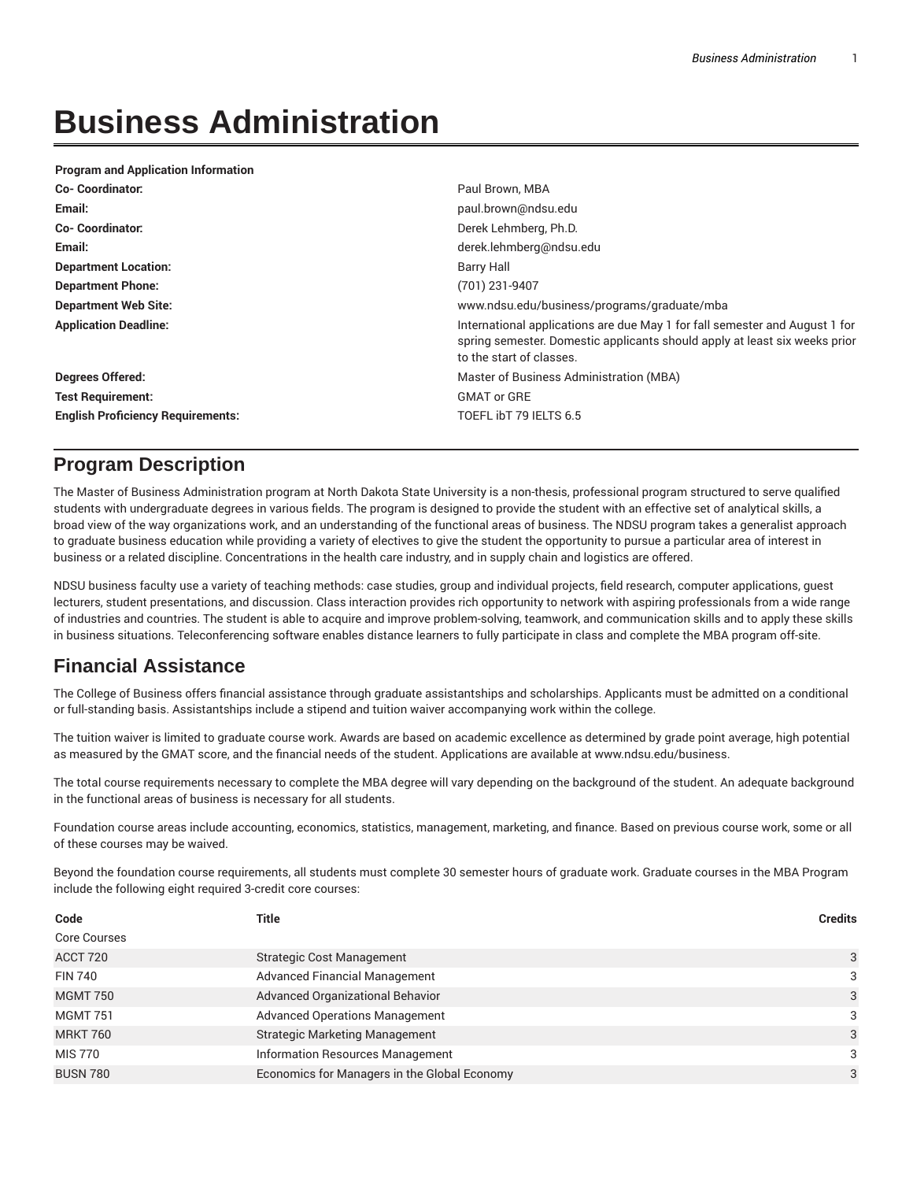# **Business Administration**

| <b>Program and Application Information</b> |                                                                                                                                                                                       |  |
|--------------------------------------------|---------------------------------------------------------------------------------------------------------------------------------------------------------------------------------------|--|
| <b>Co-Coordinator:</b>                     | Paul Brown, MBA                                                                                                                                                                       |  |
| Email:                                     | paul.brown@ndsu.edu                                                                                                                                                                   |  |
| <b>Co-Coordinator:</b>                     | Derek Lehmberg, Ph.D.                                                                                                                                                                 |  |
| Email:                                     | derek.lehmberg@ndsu.edu                                                                                                                                                               |  |
| <b>Department Location:</b>                | Barry Hall                                                                                                                                                                            |  |
| <b>Department Phone:</b>                   | (701) 231-9407                                                                                                                                                                        |  |
| <b>Department Web Site:</b>                | www.ndsu.edu/business/programs/graduate/mba                                                                                                                                           |  |
| <b>Application Deadline:</b>               | International applications are due May 1 for fall semester and August 1 for<br>spring semester. Domestic applicants should apply at least six weeks prior<br>to the start of classes. |  |
| <b>Degrees Offered:</b>                    | Master of Business Administration (MBA)                                                                                                                                               |  |
| <b>Test Requirement:</b>                   | <b>GMAT or GRE</b>                                                                                                                                                                    |  |
| <b>English Proficiency Requirements:</b>   | TOEFL ibT 79 IELTS 6.5                                                                                                                                                                |  |

## **Program Description**

The Master of Business Administration program at North Dakota State University is a non-thesis, professional program structured to serve qualified students with undergraduate degrees in various fields. The program is designed to provide the student with an effective set of analytical skills, a broad view of the way organizations work, and an understanding of the functional areas of business. The NDSU program takes a generalist approach to graduate business education while providing a variety of electives to give the student the opportunity to pursue a particular area of interest in business or a related discipline. Concentrations in the health care industry, and in supply chain and logistics are offered.

NDSU business faculty use a variety of teaching methods: case studies, group and individual projects, field research, computer applications, guest lecturers, student presentations, and discussion. Class interaction provides rich opportunity to network with aspiring professionals from a wide range of industries and countries. The student is able to acquire and improve problem-solving, teamwork, and communication skills and to apply these skills in business situations. Teleconferencing software enables distance learners to fully participate in class and complete the MBA program off-site.

## **Financial Assistance**

The College of Business offers financial assistance through graduate assistantships and scholarships. Applicants must be admitted on a conditional or full-standing basis. Assistantships include a stipend and tuition waiver accompanying work within the college.

The tuition waiver is limited to graduate course work. Awards are based on academic excellence as determined by grade point average, high potential as measured by the GMAT score, and the financial needs of the student. Applications are available at www.ndsu.edu/business.

The total course requirements necessary to complete the MBA degree will vary depending on the background of the student. An adequate background in the functional areas of business is necessary for all students.

Foundation course areas include accounting, economics, statistics, management, marketing, and finance. Based on previous course work, some or all of these courses may be waived.

Beyond the foundation course requirements, all students must complete 30 semester hours of graduate work. Graduate courses in the MBA Program include the following eight required 3-credit core courses:

| Code                | Title                                        | <b>Credits</b> |
|---------------------|----------------------------------------------|----------------|
| <b>Core Courses</b> |                                              |                |
| ACCT 720            | <b>Strategic Cost Management</b>             | 3              |
| <b>FIN 740</b>      | <b>Advanced Financial Management</b>         | 3              |
| <b>MGMT 750</b>     | Advanced Organizational Behavior             | 3              |
| <b>MGMT 751</b>     | <b>Advanced Operations Management</b>        | 3              |
| <b>MRKT 760</b>     | <b>Strategic Marketing Management</b>        | 3              |
| MIS 770             | <b>Information Resources Management</b>      | 3              |
| <b>BUSN 780</b>     | Economics for Managers in the Global Economy | 3              |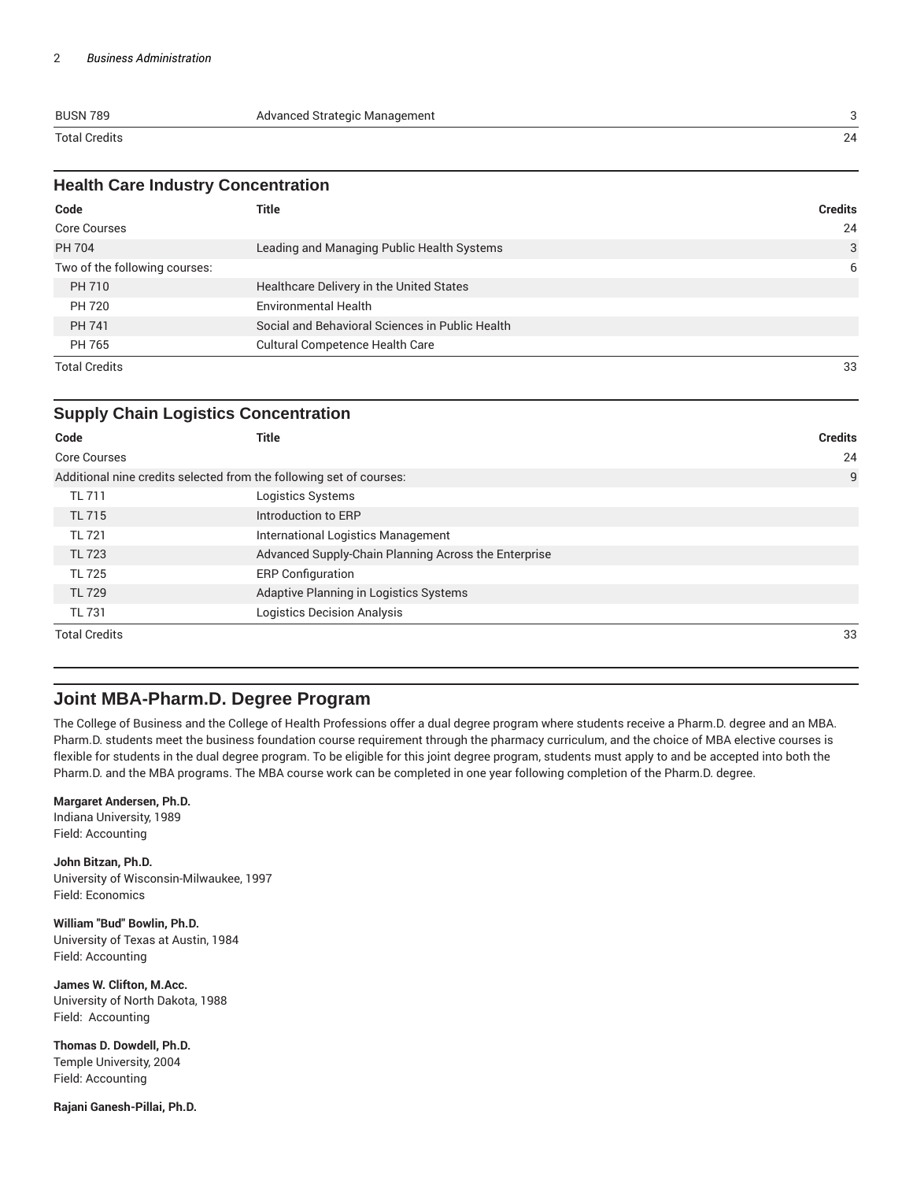| <b>BUSN 789</b>      | Advanced Strategic Management |    |
|----------------------|-------------------------------|----|
| <b>Total Credits</b> |                               | 24 |

| <b>Health Care Industry Concentration</b> |                                            |         |  |
|-------------------------------------------|--------------------------------------------|---------|--|
| Code                                      | Title                                      | Credits |  |
| Core Courses                              |                                            | 24      |  |
| PH 704                                    | Leading and Managing Public Health Systems | ₽       |  |
| Ture of the fellowing company             |                                            |         |  |

| Two of the following courses: |                                                 |    |
|-------------------------------|-------------------------------------------------|----|
| PH 710                        | Healthcare Delivery in the United States        |    |
| PH 720                        | <b>Environmental Health</b>                     |    |
| PH 741                        | Social and Behavioral Sciences in Public Health |    |
| PH 765                        | <b>Cultural Competence Health Care</b>          |    |
| <b>Total Credits</b>          |                                                 | 33 |

|                      | <b>Supply Chain Logistics Concentration</b>                         |                |
|----------------------|---------------------------------------------------------------------|----------------|
| Code                 | <b>Title</b>                                                        | <b>Credits</b> |
| <b>Core Courses</b>  |                                                                     | 24             |
|                      | Additional nine credits selected from the following set of courses: | 9              |
| <b>TL 711</b>        | Logistics Systems                                                   |                |
| <b>TL 715</b>        | Introduction to ERP                                                 |                |
| <b>TL 721</b>        | International Logistics Management                                  |                |
| <b>TL 723</b>        | Advanced Supply-Chain Planning Across the Enterprise                |                |
| <b>TL 725</b>        | <b>ERP Configuration</b>                                            |                |
| <b>TL 729</b>        | Adaptive Planning in Logistics Systems                              |                |
| TL 731               | <b>Logistics Decision Analysis</b>                                  |                |
| <b>Total Credits</b> |                                                                     | 33             |

### **Joint MBA-Pharm.D. Degree Program**

The College of Business and the College of Health Professions offer a dual degree program where students receive a Pharm.D. degree and an MBA. Pharm.D. students meet the business foundation course requirement through the pharmacy curriculum, and the choice of MBA elective courses is flexible for students in the dual degree program. To be eligible for this joint degree program, students must apply to and be accepted into both the Pharm.D. and the MBA programs. The MBA course work can be completed in one year following completion of the Pharm.D. degree.

#### **Margaret Andersen, Ph.D.**

Indiana University, 1989 Field: Accounting

**John Bitzan, Ph.D.** University of Wisconsin-Milwaukee, 1997 Field: Economics

**William "Bud" Bowlin, Ph.D.** University of Texas at Austin, 1984 Field: Accounting

**James W. Clifton, M.Acc.** University of North Dakota, 1988 Field: Accounting

**Thomas D. Dowdell, Ph.D.** Temple University, 2004 Field: Accounting

**Rajani Ganesh-Pillai, Ph.D.**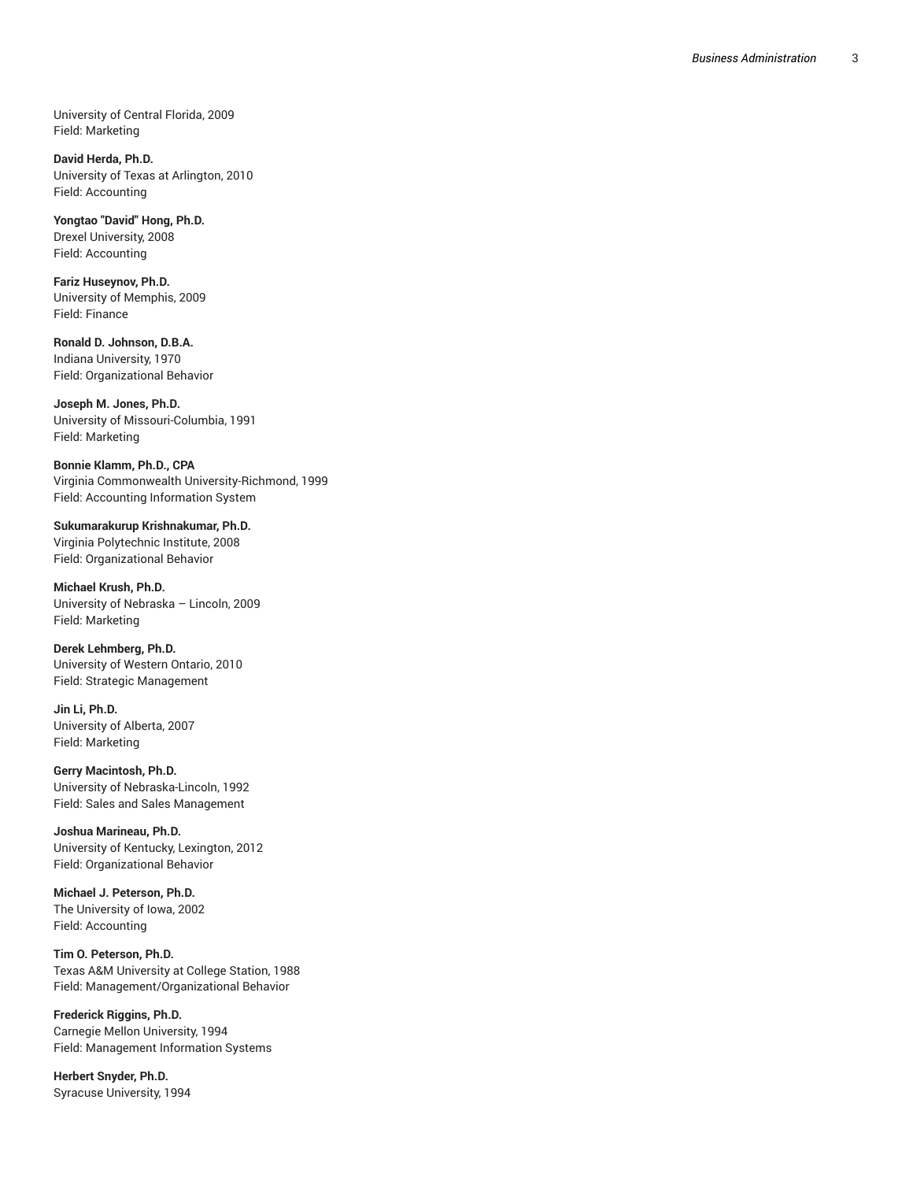University of Central Florida, 2009 , Field: Marketing

David Herda, Ph.D. University of Texas at Arlington, 2010 , Field: Accounting

**Yongtao "David" H o n g , P h . D .** Drexel University, 2008 Field: Accounting

**Fariz Huseynov, P h . D .** University of Memphis, 2009 , Field: Finance

**Ronald D. Johnson, D.B.A.** Indiana University, 1970 Field: Organizational Beha vio r

**Joseph M. Jones, Ph.D.** University of Missouri-Columbia, 1991 , Field: Marketing

**B o n n i e K l a m m , P h . D . , C PA** Virginia Commonwealth University-Richmond, 1999 , Field: Accounting Information System

**Sukumarakurup Krishnakumar, Ph.D.** Virginia Polytechnic Institute, 2008 Field: Organizational Behavior

**Michael Krush, Ph.D.** University of Nebraska – Lincoln, 2009 Field: Marketing

**Derek Lehmberg, Ph.D.** University of Western Ontario, 2010 Field: Strategic Management

**Jin Li, Ph.D.** University of Alberta, 2007 Field: Marketing

**Gerry Macintosh, Ph.D.** University of Nebraska-Lincoln 1 9 9 2 , Field: Sales and Sales Management

**Joshua Marineau, Ph.D.** University of Kentucky, Lexington, 20 1 2 Field: Organizational Behavior

Michael J. Peterson, Ph.D. The University of Iowa, 2002 , Field: Accounting

**Tim O. Peterson, P h . D .** Texas A&M University at College Station, 1988 , Field: Management/Organizational Behavior

Frederick Riggins, Ph.D. Carnegie Mellon University, 1994 Field: Management Information Systems

**Herbert Snyder, Ph.D.** Syracuse University, 1994